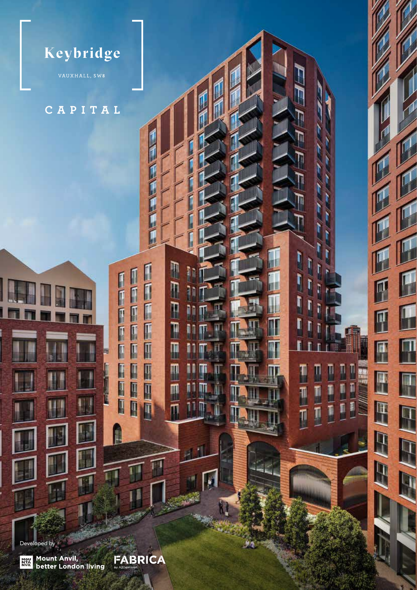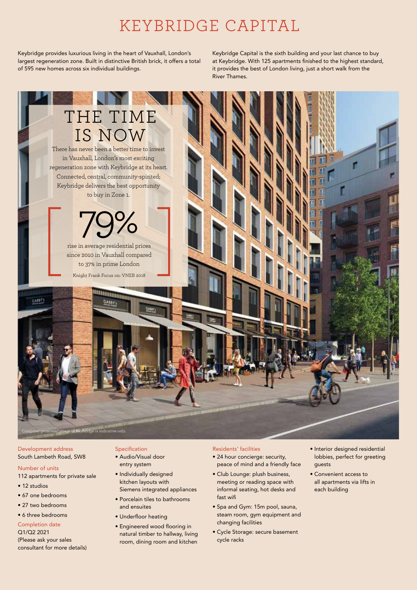## KEYBRIDGE CAPITAL

Keybridge provides luxurious living in the heart of Vauxhall, London's largest regeneration zone. Built in distinctive British brick, it offers a total of 595 new homes across six individual buildings.

Keybridge Capital is the sixth building and your last chance to buy at Keybridge. With 125 apartments finished to the highest standard, it provides the best of London living, just a short walk from the River Thames.



Development address South Lambeth Road, SW8

- Number of units 112 apartments for private sale
- 
- 12 studios
- 67 one bedrooms
- 27 two bedrooms

• 6 three bedrooms

Completion date Q1/Q2 2021 (Please ask your sales consultant for more details)

### Specification

- Audio/Visual door entry system
- Individually designed kitchen layouts with Siemens integrated appliances
- Porcelain tiles to bathrooms and ensuites
- Underfloor heating
- Engineered wood flooring in natural timber to hallway, living room, dining room and kitchen

### Residents' facilities

- 24 hour concierge: security, peace of mind and a friendly face
- Club Lounge: plush business, meeting or reading space with informal seating, hot desks and fast wifi
- Spa and Gym: 15m pool, sauna, steam room, gym equipment and changing facilities
- Cycle Storage: secure basement cycle racks
- Interior designed residential lobbies, perfect for greeting guests
- Convenient access to all apartments via lifts in each building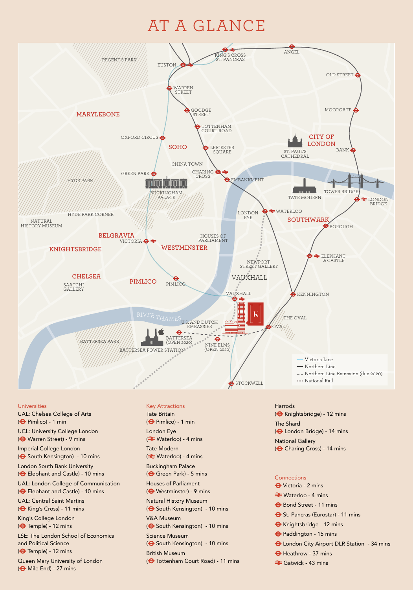# AT A GLANCE



### Universities

.<br>UCL: University College London UAL: Chelsea College of Arts ( $\Theta$  Pimlico) - 1 min ( $\bigoplus$  Warren Street) - 9 mins Imperial College London ( $\bigodot$  South Kensington) - 10 mins London South Bank University ( $\Theta$  Elephant and Castle) - 10 mins UAL: London College of Communication ( $\bigoplus$  Elephant and Castle) - 10 mins UAL: Central Saint Martins ( $\bigoplus$  King's Cross) - 11 mins King's College London  $(\bigoplus$  Temple) - 12 mins LSE: The London School of Economics and Political Science  $\left( \bigoplus$  Temple) - 12 mins Queen Mary University of London ( $\Theta$  Mile End) - 27 mins

Key Attractions Tate Britain ( Pimlico) - 1 min London Eye ( <del></del>Waterloo) - 4 mins Tate Modern ( <del></del>Waterloo) - 4 mins Buckingham Palace ( $\Theta$  Green Park) - 5 mins Houses of Parliament ( $\Theta$  Westminster) - 9 mins Natural History Museum ( $\Theta$  South Kensington) - 10 mins V&A Museum ( $\bigodot$  South Kensington) - 10 mins Science Museum ( $\Theta$  South Kensington) - 10 mins British Museum ( $\Theta$  Tottenham Court Road) - 11 mins

( $\Theta$  Charing Cross) - 14 mins Harrods ( $\bigoplus$  Knightsbridge) - 12 mins The Shard ( $\Theta$  London Bridge) - 14 mins National Gallery

### **Connections**

- Victoria 2 mins
- **E** Waterloo 4 mins
- $\bigoplus$  Bond Street 11 mins
- $\Theta$  St. Pancras (Eurostar) 11 mins
- Knightsbridge 12 mins
- Paddington 15 mins
- $\Theta$  London City Airport DLR Station 34 mins
- $\Theta$  Heathrow 37 mins
- **Exercick** 43 mins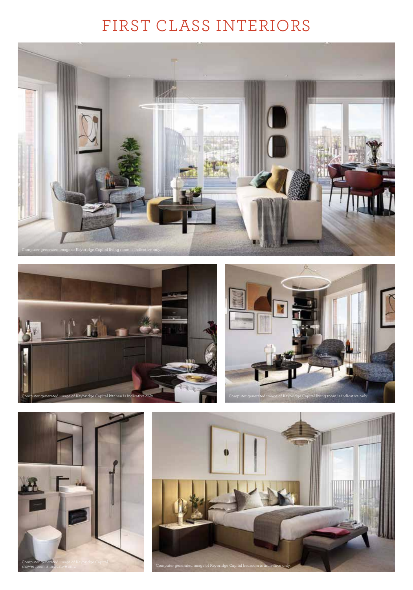# FIRST CLASS INTERIORS









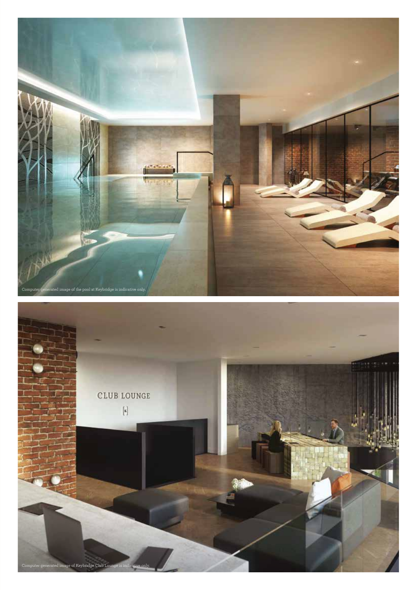